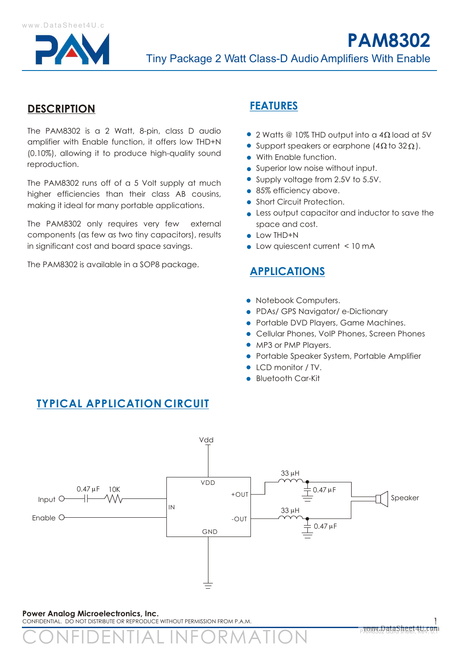

## **DESCRIPTION**

The PAM8302 is a 2 Watt, 8-pin, class D audio amplifier with Enable function, it offers low THD+N (0.10%), allowing it to produce high-quality sound reproduction.

The PAM8302 runs off of a 5 Volt supply at much higher efficiencies than their class AB cousins, making it ideal for many portable applications.

The PAM8302 only requires very few external components (as few as two tiny capacitors), results in significant cost and board space savings.

The PAM8302 is available in a SOP8 package.

## **FEATURES**

- $\bullet$  2 Watts @ 10% THD output into a 4 $\Omega$  load at 5V
- Support speakers or earphone  $(4\Omega$  to  $32\Omega)$ .
- With Enable function.
- Superior low noise without input.
- Supply voltage from 2.5V to 5.5V.
- 85% efficiency above.
- Short Circuit Protection.
- Less output capacitor and inductor to save the space and cost.
- Low THD+N
- Low quiescent current < 10 mA

# **APPLICATIONS**

- Notebook Computers.
- PDAs/ GPS Navigator/ e-Dictionary
- **Portable DVD Players, Game Machines.**
- Cellular Phones, VoIP Phones, Screen Phones
- MP3 or PMP Players.
- **Portable Speaker System, Portable Amplifier**
- LCD monitor / TV.
- **Bluetooth Car-Kit**



**Power Analog Microelectronics, Inc.**  CONFIDENTIAL. DO NOT DISTRIBUTE OR REPRODUCE WITHOUT PERMISSION FROM P.A.M.

CONFIDENTIAL INFORMATION

# **TYPICAL APPLICATION CIRCUIT**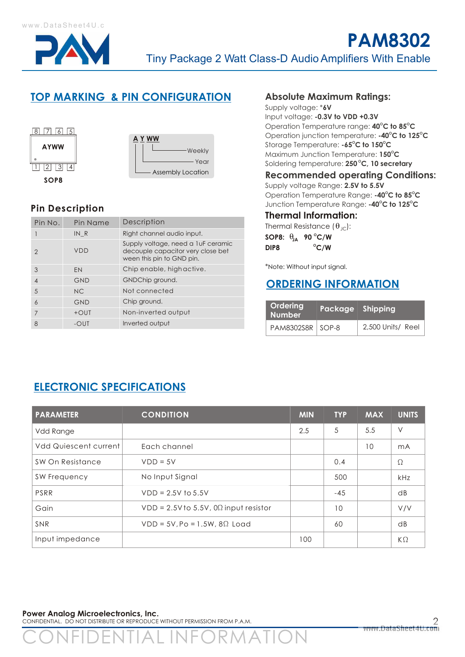

# **TOP MARKING & PIN CONFIGURATION Absolute Maximum Ratings:**



## **Pin Description**

| Pin No.        | Pin Name   | Description                                                                                          |  |  |
|----------------|------------|------------------------------------------------------------------------------------------------------|--|--|
|                | INR        | Right channel audio input.                                                                           |  |  |
| 2              | <b>VDD</b> | Supply voltage, need a luF ceramic<br>decouple capacitor very close bet<br>ween this pin to GND pin. |  |  |
| 3              | EN         | Chip enable, highactive.                                                                             |  |  |
| $\overline{4}$ | <b>GND</b> | GNDChip ground.                                                                                      |  |  |
| 5              | NC.        | Not connected                                                                                        |  |  |
| $\overline{6}$ | <b>GND</b> | Chip ground.                                                                                         |  |  |
| 7              | $+$ OUT    | Non-inverted output                                                                                  |  |  |
| 8              | -OUT       | Inverted output                                                                                      |  |  |

Supply voltage: \***6V**

Input voltage: **-0.3V to VDD +0.3V O O** Operation Temperature range: **40 C to 85 C O O** Operation junction temperature: **-40 C to 125 C O O** Storage Temperature: **-65 C to 150 C <sup>O</sup>** Maximum Junction Temperature: **150 C <sup>O</sup>** Soldering temperature: **250 C, 10 secretary**

#### **Recommended operating Conditions:**

Supply voltage Range: **2.5V to 5.5V O O** Operation Temperature Range: **-40 C to 85 C O O** Junction Temperature Range: **-40 C to 125 C**

#### **Thermal Information:**

Thermal Resistance  $(\theta_{\text{IC}})$ :

**O SOP8: JA 90 C/W DIP8**  $\degree$  **C/W** 

\*Note: Without input signal.

# **ORDERING INFORMATION**

| <b>Ordering</b><br><b>Number</b> | Package Shipping |                   |
|----------------------------------|------------------|-------------------|
| PAM8302S8R SOP-8                 |                  | 2,500 Units/ Reel |

# **ELECTRONIC SPECIFICATIONS**

| <b>PARAMETER</b>             | <b>CONDITION</b>                                | <b>MIN</b> | <b>TYP</b> | <b>MAX</b> | <b>UNITS</b> |
|------------------------------|-------------------------------------------------|------------|------------|------------|--------------|
| Vdd Range                    |                                                 | 2.5        | 5          | 5.5        | $\vee$       |
| <b>Vdd Quiescent current</b> | Each channel                                    |            |            | 10         | mA           |
| SW On Resistance             | $VDD = 5V$                                      |            | 0.4        |            | Ω            |
| SW Frequency                 | No Input Signal                                 |            | 500        |            | kHz          |
| PSRR                         | $VDD = 2.5V$ to $5.5V$                          |            | $-45$      |            | dB           |
| Gain                         | $VDD = 2.5V$ to 5.5V, 0 $\Omega$ input resistor |            | 10         |            | V/V          |
| <b>SNR</b>                   | $VDD = 5V$ , Po = 1.5W, 8 $\Omega$ Load         |            | 60         |            | dB           |
| Input impedance              |                                                 | 100        |            |            | $K\Omega$    |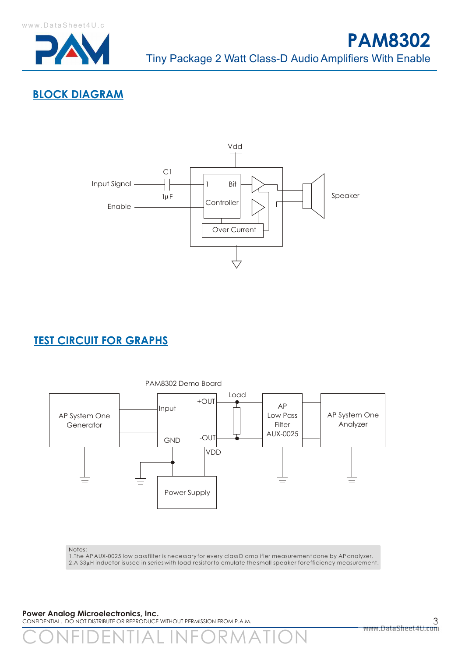





# **TEST CIRCUIT FOR GRAPHS**



1.The AP AUX-0025 low pass filter is necessary for every class D amplifier measurement done by AP analyzer. 2.A 33µH inductor is used in series with load resistor to emulate the small speaker for efficiency measurement.

**Power Analog Microelectronics, Inc.** 

CONFIDENTIAL. DO NOT DISTRIBUTE OR REPRODUCE WITHOUT PERMISSION FROM P.A.M.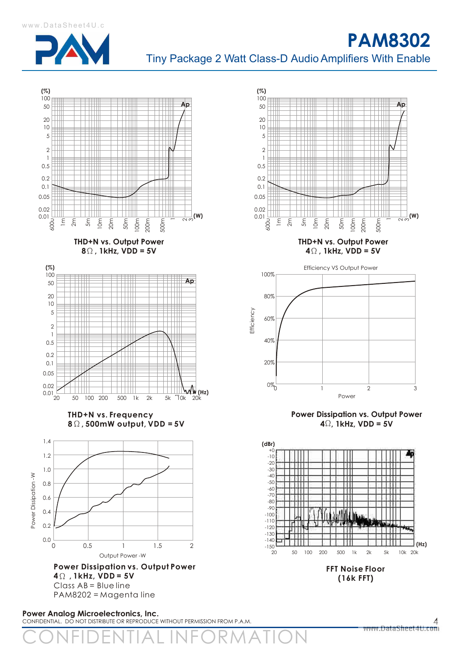

**PAM8302** Tiny Package 2 Watt Class-D Audio Amplifiers With Enable

**(%)**



100 **Ap** 50  $20$ 10 **THE** ₩ 5 2 Ш ШT 1 0.5 ₩ 0.2 ╫ ╫╫ 0.1 0.05 0.02 Ш 0.01  $\frac{1}{\alpha \, \mathsf{o}}$ (W) 2m 600u 1m 5m 10m 20m 50m 100m 200m 500m **THD+N vs. Output Power 40, 1kHz, VDD = 5V** Efficiency VS Output Power



**Power Dissipation vs. Output Power**  $4\Omega$ , 1kHz, VDD = 5V



**(16k FFT)**

**Power Analog Microelectronics, Inc.**  CONFIDENTIAL. DO NOT DISTRIBUTE OR REPRODUCE WITHOUT PERMISSION FROM P.A.M.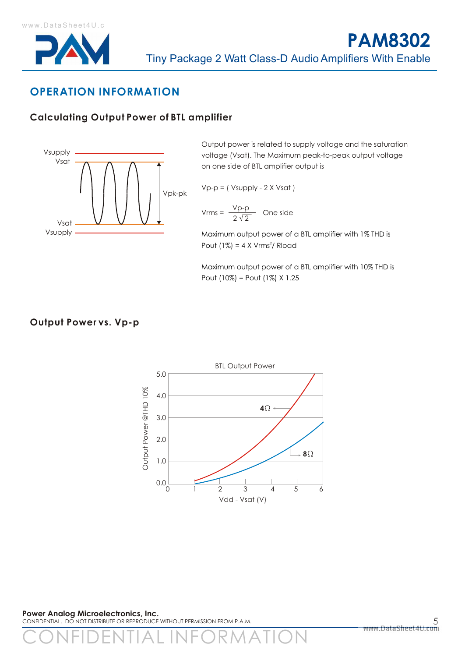

# **OPERATION INFORMATION**

## **Calculating Output Power of BTL amplifier**



Output power is related to supply voltage and the saturation voltage (Vsat). The Maximum peak-to-peak output voltage on one side of BTL amplifier output is

$$
Vp-p = (Vsupply - 2 X Vsat)
$$

$$
Vrms = \frac{Vp-p}{2\sqrt{2}}
$$
 One side

Maximum output power of a BTL amplifier with 1% THD is Pout  $(1\%) = 4 \times Vrms<sup>2</sup>/$  Rload

Maximum output power of a BTL amplifier with 10% THD is Pout (10%) = Pout (1%) X 1.25

#### **Output Power vs. Vp-p**



**Power Analog Microelectronics, Inc.**  CONFIDENTIAL. DO NOT DISTRIBUTE OR REPRODUCE WITHOUT PERMISSION FROM P.A.M.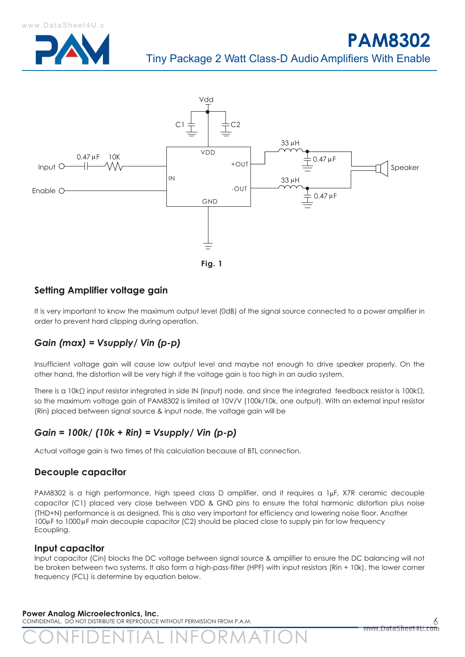



### **Setting Amplifier voltage gain**

It is very important to know the maximum output level (0dB) of the signal source connected to a power amplifier in order to prevent hard clipping during operation.

## *Gain (max) = Vsupply/ Vin (p-p)*

Insufficient voltage gain will cause low output level and maybe not enough to drive speaker properly. On the other hand, the distortion will be very high if the voltage gain is too high in an audio system.

There is a 10k $\Omega$  input resistor integrated in side IN (input) node, and since the integrated feedback resistor is 100k $\Omega$ , so the maximum voltage gain of PAM8302 is limited at 10V/V (100k/10k, one output). With an external input resistor (Rin) placed between signal source & input node, the voltage gain will be

## *Gain = 100k/ (10k + Rin) = Vsupply/ Vin (p-p)*

Actual voltage gain is two times of this calculation because of BTL connection.

#### **Decouple capacitor**

PAM8302 is a high performance, high speed class D amplifier, and it requires a 1µF, X7R ceramic decouple capacitor (C1) placed very close between VDD & GND pins to ensure the total harmonic distortion plus noise (THD+N) performance is as designed. This is also very important for efficiency and lowering noise floor. Another 100µF to 1000µF main decouple capacitor (C2) should be placed close to supply pin for low frequency Ecoupling.

#### **Input capacitor**

Input capacitor (Cin) blocks the DC voltage between signal source & amplifier to ensure the DC balancing will not be broken between two systems. It also form a high-pass-filter (HPF) with input resistors (Rin + 10k), the lower corner frequency (FCL) is determine by equation below.

#### **Power Analog Microelectronics, Inc.**

CONFIDENTIAL. DO NOT DISTRIBUTE OR REPRODUCE WITHOUT PERMISSION FROM P.A.M.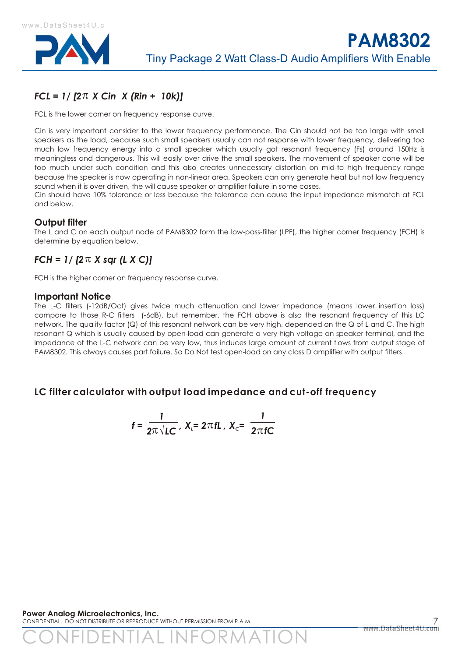

# *FCL = 1/ [2 X Cin X (Rin + 10k)]*

FCL is the lower corner on frequency response curve.

Cin is very important consider to the lower frequency performance. The Cin should not be too large with small speakers as the load, because such small speakers usually can not response with lower frequency, delivering too much low frequency energy into a small speaker which usually got resonant frequency (Fs) around 150Hz is meaningless and dangerous. This will easily over drive the small speakers. The movement of speaker cone will be too much under such condition and this also creates unnecessary distortion on mid-to high frequency range because the speaker is now operating in non-linear area. Speakers can only generate heat but not low frequency sound when it is over driven, the will cause speaker or amplifier failure in some cases.

Cin should have 10% tolerance or less because the tolerance can cause the input impedance mismatch at FCL and below.

#### **Output filter**

The L and C on each output node of PAM8302 form the low-pass-filter (LPF), the higher corner frequency (FCH) is determine by equation below.

# *FCH = 1/ [2 X sqr (L X C)]*

FCH is the higher corner on frequency response curve.

#### **Important Notice**

The L-C filters (-12dB/Oct) gives twice much attenuation and lower impedance (means lower insertion loss) compare to those R-C filters (-6dB), but remember, the FCH above is also the resonant frequency of this LC network. The quality factor (Q) of this resonant network can be very high, depended on the Q of L and C. The high resonant Q which is usually caused by open-load can generate a very high voltage on speaker terminal, and the impedance of the L-C network can be very low, thus induces large amount of current flows from output stage of PAM8302. This always causes part failure. So Do Not test open-load on any class D amplifier with output filters.

#### **LC filter calculator with output load impedance and cut-off frequency**

$$
f = \frac{1}{2\pi\sqrt{LC}}
$$
,  $X_{c} = 2\pi fL$ ,  $X_{c} = \frac{1}{2\pi fC}$